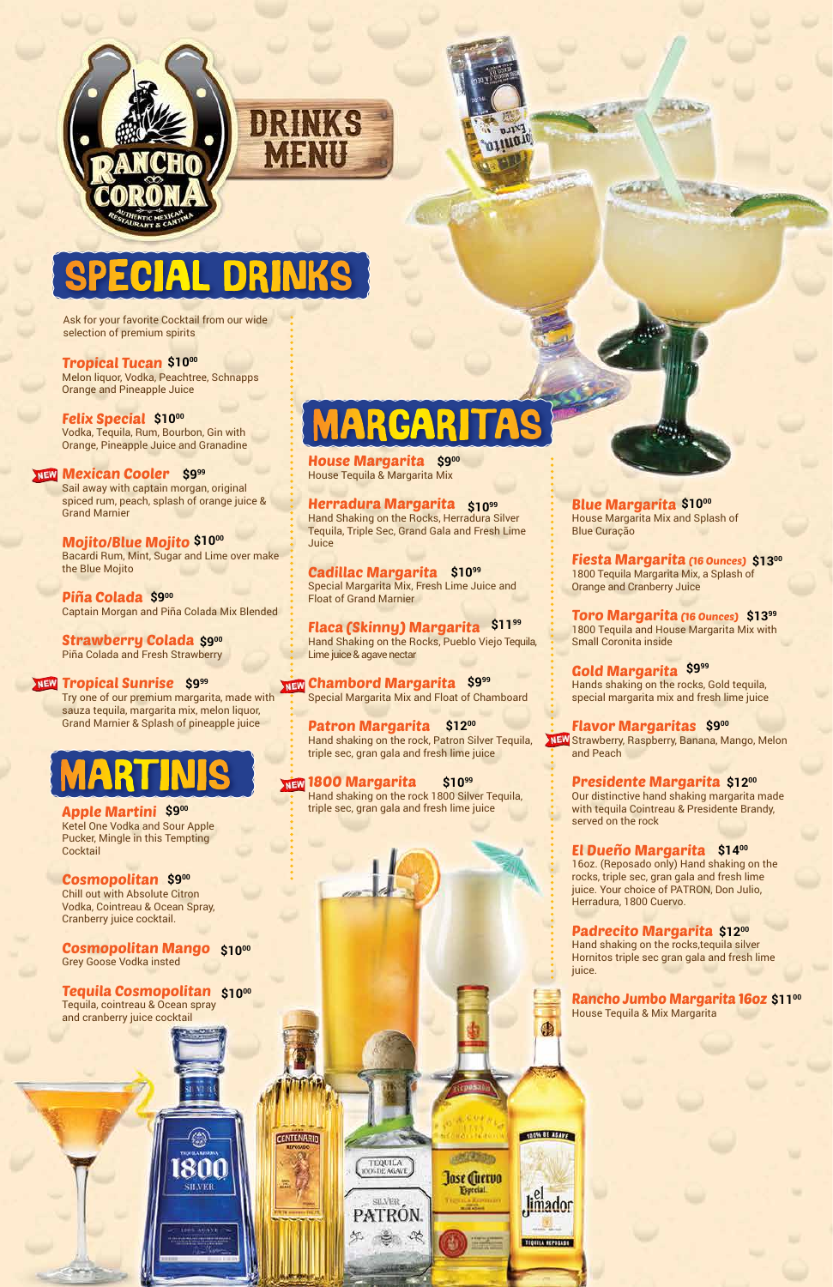



## ECIAL DRINKS

mank

MENU

Ask for your favorite Cocktail from our wide selection of premium spirits

Melon liquor, Vodka, Peachtree, Schnapps Orange and Pineapple Juice

**Felix Special \$1000** Vodka, Tequila, Rum, Bourbon, Gin with Orange, Pineapple Juice and Granadine

#### **Mexican Cooler** \$9<sup>99</sup>

Piña Colada \$900 Captain Morgan and Piña Colada Mix Blended

Sail away with captain morgan, original spiced rum, peach, splash of orange juice & Grand Marnier

#### Tropical Tucan **\$1000**

**House Margarita \$900** House Tequila & Margarita Mix

Herradura Margarita **\$1099** Hand Shaking on the Rocks, Herradura Silver Tequila, Triple Sec, Grand Gala and Fresh Lime **Juice** 

Bacardi Rum, Mint, Sugar and Lime over make the Blue Mojito

Strawberry Colada **\$900** Piña Colada and Fresh Strawberry

Mojito/Blue Mojito **\$1000**

Try one of our premium margarita, made with sauza tequila, margarita mix, melon liquor, Grand Marnier & Splash of pineapple juice

Patron Margarita \$1200 Hand shaking on the rock, Patron Silver Tequila, triple sec, gran gala and fresh lime juice

#### Tropical Sunrise **\$999**

**Blue Margarita \$1000** House Margarita Mix and Splash of Blue Curação

Fiesta Margarita (16 Ounces) \$1300 1800 Tequila Margarita Mix, a Splash of Orange and Cranberry Juice

Toro Margarita (16 Ounces) \$1399 1800 Tequila and House Margarita Mix with Small Coronita inside

Gold Margarita S9<sup>99</sup> Hands shaking on the rocks, Gold tequila, special margarita mix and fresh lime juice

**Flavor Margaritas \$900** Strawberry, Raspberry, Banana, Mango, Melon and Peach

Cadillac Margarita **\$1099** Special Margarita Mix, Fresh Lime Juice and Float of Grand Marnier

> **Presidente Margarita \$1200** Our distinctive hand shaking margarita made with tequila Cointreau & Presidente Brandy, served on the rock

Flaca (Skinny) Margarita **\$1199** Hand Shaking on the Rocks, Pueblo Viejo Tequila, Lime juice & agave nectar

Chambord Margarita **\$999 NEW** Special Margarita Mix and Float of Chamboard

Apple Martini **\$900** Ketel One Vodka and Sour Apple Pucker, Mingle in this Tempting **Cocktail** 

#### **Cosmopolitan \$900**

1800 Margarita **\$1099 NEW** Hand shaking on the rock 1800 Silver Tequila, triple sec, gran gala and fresh lime juice

16oz. (Reposado only) Hand shaking on the rocks, triple sec, gran gala and fresh lime juice. Your choice of PATRON, Don Julio, Herradura, 1800 Cuervo.

Padrecito Margarita **\$1200** Hand shaking on the rocks,tequila silver

4

TOOM OF ASAVE

Jimador

**REFORMANCESSES** 

**ANGELESCO** 

Jose Cuervo

Especial.

TEQUILA<br>1005DE AGAVE

SILVER PATRON.

言 次

Hornitos triple sec gran gala and fresh lime juice.

Rancho Jumbo Margarita 16oz **\$1100** House Tequila & Mix Margarita

#### El Dueño Margarita **\$1400**

Chill out with Absolute Citron Vodka, Cointreau & Ocean Spray, Cranberry juice cocktail.

#### Cosmopolitan Mango **\$1000** Grey Goose Vodka insted

#### Tequila Cosmopolitan **\$1000**

1800

Tequila, cointreau & Ocean spray and cranberry juice cocktail

**SHAER** 

 $1885 - 45.653$ 

**CENTENARIO** 

### MARGARITAS

## MARTINIS